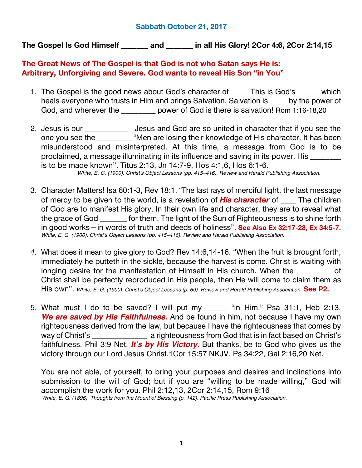## **Sabbath October 21, 2017**

**The Gospel Is God Himself \_\_\_\_\_\_\_ and \_\_\_\_\_\_\_ in all His Glory! 2Cor 4:6, 2Cor 2:14,15**

## **The Great News of The Gospel is that God is not who Satan says He is: Arbitrary, Unforgiving and Severe. God wants to reveal His Son "in You"**

- 1. The Gospel is the good news about God's character of **\_\_\_\_** This is God's **\_\_\_\_\_** which heals everyone who trusts in Him and brings Salvation. Salvation is **\_\_\_\_** by the power of God, and wherever the \_\_\_\_\_\_\_\_\_\_ power of God is there is salvation! Rom 1:16-18,20
- 2. Jesus is our **\_\_\_\_\_\_\_\_\_\_** Jesus and God are so united in character that if you see the one you see the \_\_\_\_\_\_\_\_ "Men are losing their knowledge of His character. It has been misunderstood and misinterpreted. At this time, a message from God is to be proclaimed, a message illuminating in its influence and saving in its power. His **\_\_\_\_\_\_\_\_** is to be made known". Titus 2:13, Jn 14:7-9, Hos 4:1,6, Hos 6:1-6. *White, E. G. (1900). Christ's Object Lessons (pp. 415–416). Review and Herald Publishing Association.*
- 3. Character Matters! Isa 60:1-3, Rev 18:1. "The last rays of merciful light, the last message of mercy to be given to the world, is a revelation of *His character* of **\_\_\_\_** The children of God are to manifest His glory. In their own life and character, they are to reveal what the grace of God **\_\_\_\_\_\_\_** for them. The light of the Sun of Righteousness is to shine forth in good works—in words of truth and deeds of holiness". **See Also Ex 32:17-23, Ex 34:5-7.** *White, E. G. (1900). Christ's Object Lessons (pp. 415–416). Review and Herald Publishing Association.*
- *4.* What does it mean to give glory to God? Rev 14:6,14-16. "When the fruit is brought forth, immediately he putteth in the sickle, because the harvest is come. Christ is waiting with longing desire for the manifestation of Himself in His church. When the **\_\_\_\_\_\_\_\_\_** of Christ shall be perfectly reproduced in His people, then He will come to claim them as His own". *White, E. G. (1900). Christ's Object Lessons (p. 69). Review and Herald Publishing Association.* **See P2.**
- 5. What must I do to be saved? I will put my **\_\_\_\_\_** "in Him." Psa 31:1, Heb 2:13. *We are saved by His Faithfulness.* And be found in him, not because I have my own righteousness derived from the law, but because I have the righteousness that comes by way of Christ's **\_\_\_\_\_\_\_\_\_\_\_\_\_** a righteousness from God that is in fact based on Christ's faithfulness. Phil 3:9 Net. *It's by His Victory.* But thanks, be to God who gives us the victory through our Lord Jesus Christ.1Cor 15:57 NKJV. Ps 34:22, Gal 2:16,20 Net.

You are not able, of yourself, to bring your purposes and desires and inclinations into submission to the will of God; but if you are "willing to be made willing," God will accomplish the work for you. Phil 2:12,13, 2Cor 2:14,15, Rom 9:16 *White, E. G. (1896). Thoughts from the Mount of Blessing (p. 142). Pacific Press Publishing Association.*